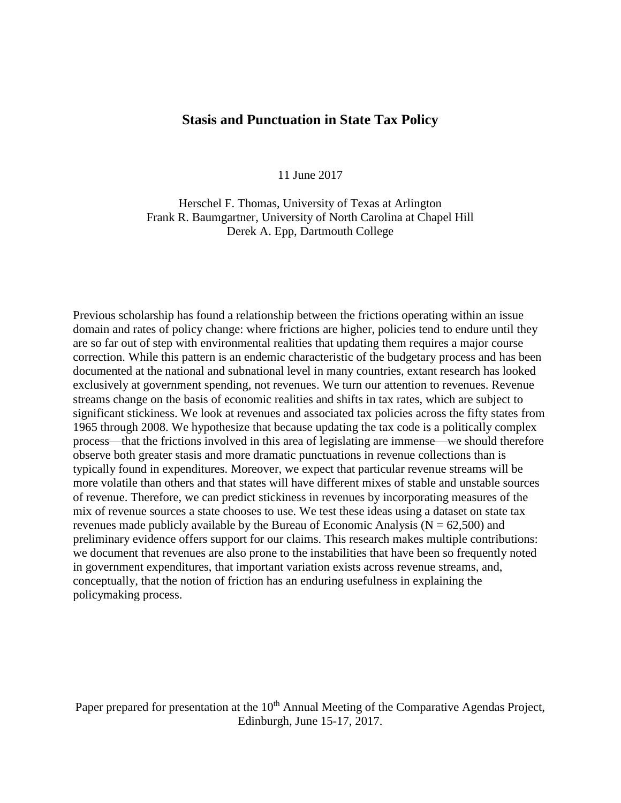# **Stasis and Punctuation in State Tax Policy**

11 June 2017

Herschel F. Thomas, University of Texas at Arlington Frank R. Baumgartner, University of North Carolina at Chapel Hill Derek A. Epp, Dartmouth College

Previous scholarship has found a relationship between the frictions operating within an issue domain and rates of policy change: where frictions are higher, policies tend to endure until they are so far out of step with environmental realities that updating them requires a major course correction. While this pattern is an endemic characteristic of the budgetary process and has been documented at the national and subnational level in many countries, extant research has looked exclusively at government spending, not revenues. We turn our attention to revenues. Revenue streams change on the basis of economic realities and shifts in tax rates, which are subject to significant stickiness. We look at revenues and associated tax policies across the fifty states from 1965 through 2008. We hypothesize that because updating the tax code is a politically complex process—that the frictions involved in this area of legislating are immense—we should therefore observe both greater stasis and more dramatic punctuations in revenue collections than is typically found in expenditures. Moreover, we expect that particular revenue streams will be more volatile than others and that states will have different mixes of stable and unstable sources of revenue. Therefore, we can predict stickiness in revenues by incorporating measures of the mix of revenue sources a state chooses to use. We test these ideas using a dataset on state tax revenues made publicly available by the Bureau of Economic Analysis ( $N = 62,500$ ) and preliminary evidence offers support for our claims. This research makes multiple contributions: we document that revenues are also prone to the instabilities that have been so frequently noted in government expenditures, that important variation exists across revenue streams, and, conceptually, that the notion of friction has an enduring usefulness in explaining the policymaking process.

Paper prepared for presentation at the 10<sup>th</sup> Annual Meeting of the Comparative Agendas Project, Edinburgh, June 15-17, 2017.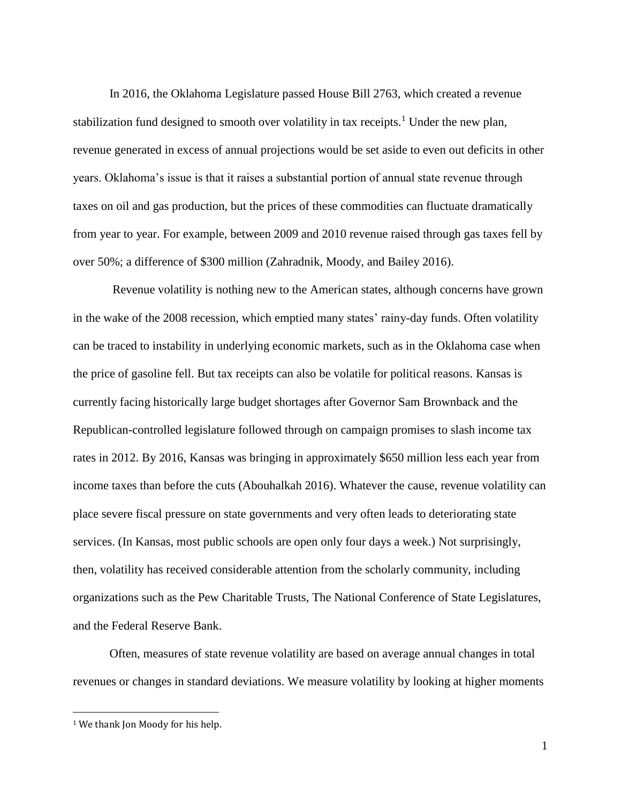In 2016, the Oklahoma Legislature passed House Bill 2763, which created a revenue stabilization fund designed to smooth over volatility in tax receipts.<sup>1</sup> Under the new plan, revenue generated in excess of annual projections would be set aside to even out deficits in other years. Oklahoma's issue is that it raises a substantial portion of annual state revenue through taxes on oil and gas production, but the prices of these commodities can fluctuate dramatically from year to year. For example, between 2009 and 2010 revenue raised through gas taxes fell by over 50%; a difference of \$300 million (Zahradnik, Moody, and Bailey 2016).

Revenue volatility is nothing new to the American states, although concerns have grown in the wake of the 2008 recession, which emptied many states' rainy-day funds. Often volatility can be traced to instability in underlying economic markets, such as in the Oklahoma case when the price of gasoline fell. But tax receipts can also be volatile for political reasons. Kansas is currently facing historically large budget shortages after Governor Sam Brownback and the Republican-controlled legislature followed through on campaign promises to slash income tax rates in 2012. By 2016, Kansas was bringing in approximately \$650 million less each year from income taxes than before the cuts (Abouhalkah 2016). Whatever the cause, revenue volatility can place severe fiscal pressure on state governments and very often leads to deteriorating state services. (In Kansas, most public schools are open only four days a week.) Not surprisingly, then, volatility has received considerable attention from the scholarly community, including organizations such as the Pew Charitable Trusts, The National Conference of State Legislatures, and the Federal Reserve Bank.

Often, measures of state revenue volatility are based on average annual changes in total revenues or changes in standard deviations. We measure volatility by looking at higher moments

 $\overline{a}$ 

<sup>&</sup>lt;sup>1</sup> We thank Jon Moody for his help.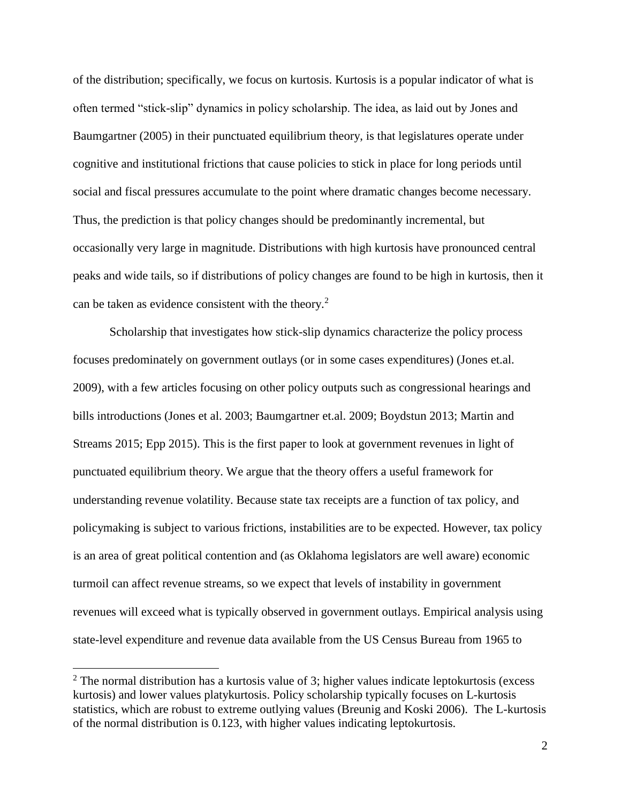of the distribution; specifically, we focus on kurtosis. Kurtosis is a popular indicator of what is often termed "stick-slip" dynamics in policy scholarship. The idea, as laid out by Jones and Baumgartner (2005) in their punctuated equilibrium theory, is that legislatures operate under cognitive and institutional frictions that cause policies to stick in place for long periods until social and fiscal pressures accumulate to the point where dramatic changes become necessary. Thus, the prediction is that policy changes should be predominantly incremental, but occasionally very large in magnitude. Distributions with high kurtosis have pronounced central peaks and wide tails, so if distributions of policy changes are found to be high in kurtosis, then it can be taken as evidence consistent with the theory.<sup>2</sup>

Scholarship that investigates how stick-slip dynamics characterize the policy process focuses predominately on government outlays (or in some cases expenditures) (Jones et.al. 2009), with a few articles focusing on other policy outputs such as congressional hearings and bills introductions (Jones et al. 2003; Baumgartner et.al. 2009; Boydstun 2013; Martin and Streams 2015; Epp 2015). This is the first paper to look at government revenues in light of punctuated equilibrium theory. We argue that the theory offers a useful framework for understanding revenue volatility. Because state tax receipts are a function of tax policy, and policymaking is subject to various frictions, instabilities are to be expected. However, tax policy is an area of great political contention and (as Oklahoma legislators are well aware) economic turmoil can affect revenue streams, so we expect that levels of instability in government revenues will exceed what is typically observed in government outlays. Empirical analysis using state-level expenditure and revenue data available from the US Census Bureau from 1965 to

 $\overline{a}$ 

 $2$  The normal distribution has a kurtosis value of 3; higher values indicate leptokurtosis (excess kurtosis) and lower values platykurtosis. Policy scholarship typically focuses on L-kurtosis statistics, which are robust to extreme outlying values (Breunig and Koski 2006). The L-kurtosis of the normal distribution is 0.123, with higher values indicating leptokurtosis.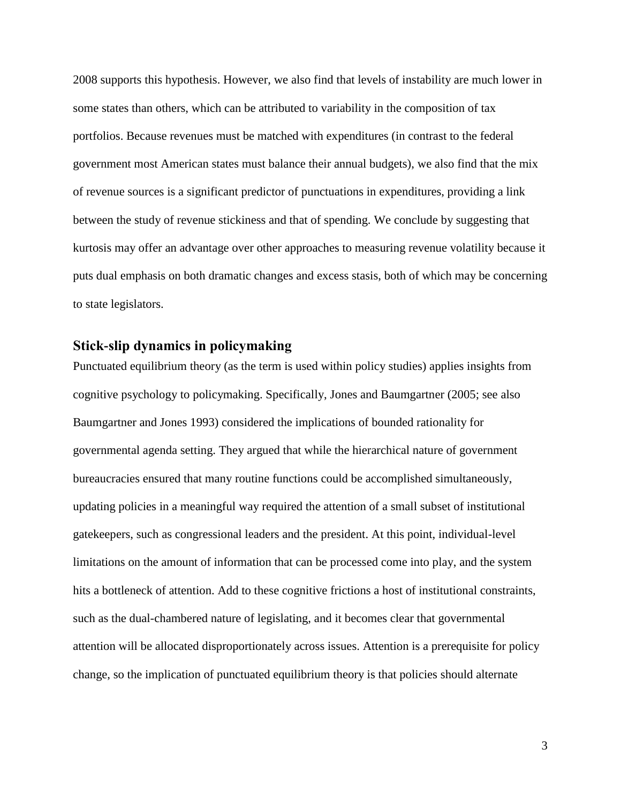2008 supports this hypothesis. However, we also find that levels of instability are much lower in some states than others, which can be attributed to variability in the composition of tax portfolios. Because revenues must be matched with expenditures (in contrast to the federal government most American states must balance their annual budgets), we also find that the mix of revenue sources is a significant predictor of punctuations in expenditures, providing a link between the study of revenue stickiness and that of spending. We conclude by suggesting that kurtosis may offer an advantage over other approaches to measuring revenue volatility because it puts dual emphasis on both dramatic changes and excess stasis, both of which may be concerning to state legislators.

# **Stick-slip dynamics in policymaking**

Punctuated equilibrium theory (as the term is used within policy studies) applies insights from cognitive psychology to policymaking. Specifically, Jones and Baumgartner (2005; see also Baumgartner and Jones 1993) considered the implications of bounded rationality for governmental agenda setting. They argued that while the hierarchical nature of government bureaucracies ensured that many routine functions could be accomplished simultaneously, updating policies in a meaningful way required the attention of a small subset of institutional gatekeepers, such as congressional leaders and the president. At this point, individual-level limitations on the amount of information that can be processed come into play, and the system hits a bottleneck of attention. Add to these cognitive frictions a host of institutional constraints, such as the dual-chambered nature of legislating, and it becomes clear that governmental attention will be allocated disproportionately across issues. Attention is a prerequisite for policy change, so the implication of punctuated equilibrium theory is that policies should alternate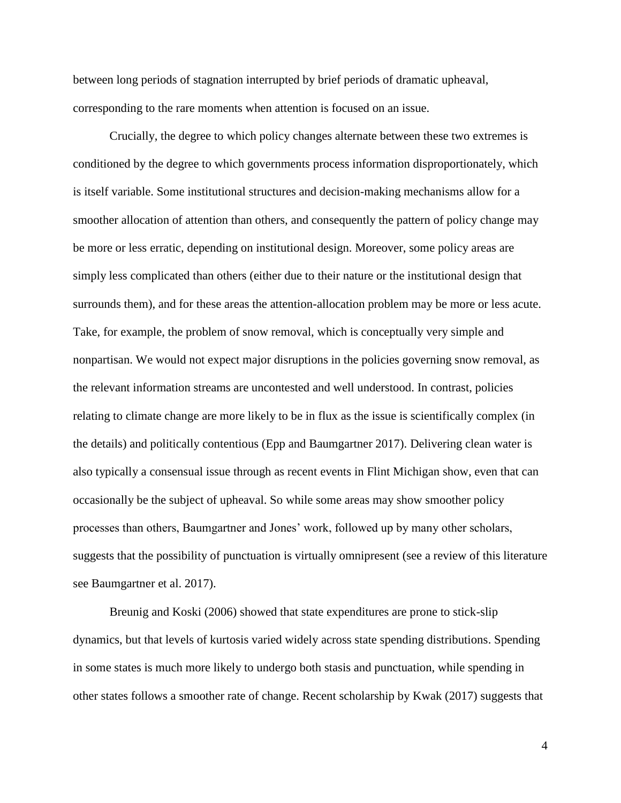between long periods of stagnation interrupted by brief periods of dramatic upheaval, corresponding to the rare moments when attention is focused on an issue.

Crucially, the degree to which policy changes alternate between these two extremes is conditioned by the degree to which governments process information disproportionately, which is itself variable. Some institutional structures and decision-making mechanisms allow for a smoother allocation of attention than others, and consequently the pattern of policy change may be more or less erratic, depending on institutional design. Moreover, some policy areas are simply less complicated than others (either due to their nature or the institutional design that surrounds them), and for these areas the attention-allocation problem may be more or less acute. Take, for example, the problem of snow removal, which is conceptually very simple and nonpartisan. We would not expect major disruptions in the policies governing snow removal, as the relevant information streams are uncontested and well understood. In contrast, policies relating to climate change are more likely to be in flux as the issue is scientifically complex (in the details) and politically contentious (Epp and Baumgartner 2017). Delivering clean water is also typically a consensual issue through as recent events in Flint Michigan show, even that can occasionally be the subject of upheaval. So while some areas may show smoother policy processes than others, Baumgartner and Jones' work, followed up by many other scholars, suggests that the possibility of punctuation is virtually omnipresent (see a review of this literature see Baumgartner et al. 2017).

Breunig and Koski (2006) showed that state expenditures are prone to stick-slip dynamics, but that levels of kurtosis varied widely across state spending distributions. Spending in some states is much more likely to undergo both stasis and punctuation, while spending in other states follows a smoother rate of change. Recent scholarship by Kwak (2017) suggests that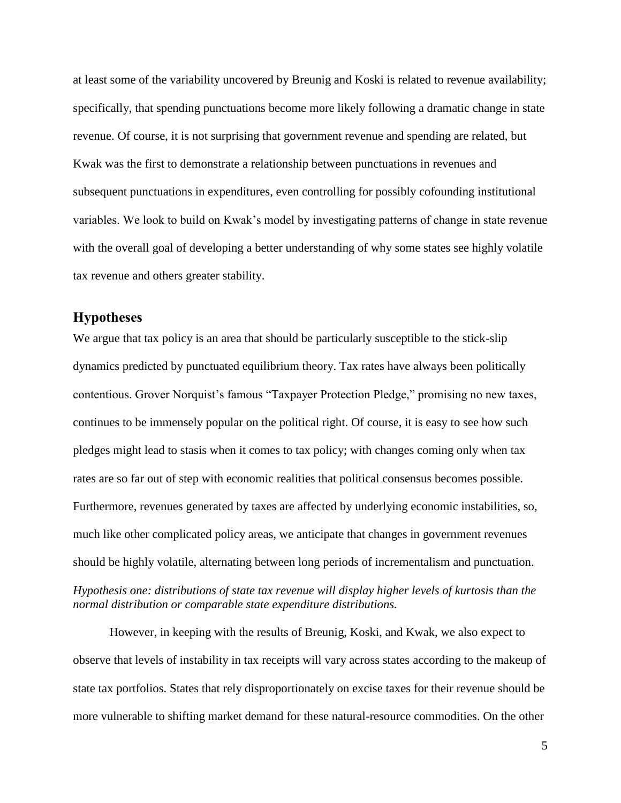at least some of the variability uncovered by Breunig and Koski is related to revenue availability; specifically, that spending punctuations become more likely following a dramatic change in state revenue. Of course, it is not surprising that government revenue and spending are related, but Kwak was the first to demonstrate a relationship between punctuations in revenues and subsequent punctuations in expenditures, even controlling for possibly cofounding institutional variables. We look to build on Kwak's model by investigating patterns of change in state revenue with the overall goal of developing a better understanding of why some states see highly volatile tax revenue and others greater stability.

## **Hypotheses**

We argue that tax policy is an area that should be particularly susceptible to the stick-slip dynamics predicted by punctuated equilibrium theory. Tax rates have always been politically contentious. Grover Norquist's famous "Taxpayer Protection Pledge," promising no new taxes, continues to be immensely popular on the political right. Of course, it is easy to see how such pledges might lead to stasis when it comes to tax policy; with changes coming only when tax rates are so far out of step with economic realities that political consensus becomes possible. Furthermore, revenues generated by taxes are affected by underlying economic instabilities, so, much like other complicated policy areas, we anticipate that changes in government revenues should be highly volatile, alternating between long periods of incrementalism and punctuation. *Hypothesis one: distributions of state tax revenue will display higher levels of kurtosis than the normal distribution or comparable state expenditure distributions.* 

However, in keeping with the results of Breunig, Koski, and Kwak, we also expect to observe that levels of instability in tax receipts will vary across states according to the makeup of state tax portfolios. States that rely disproportionately on excise taxes for their revenue should be more vulnerable to shifting market demand for these natural-resource commodities. On the other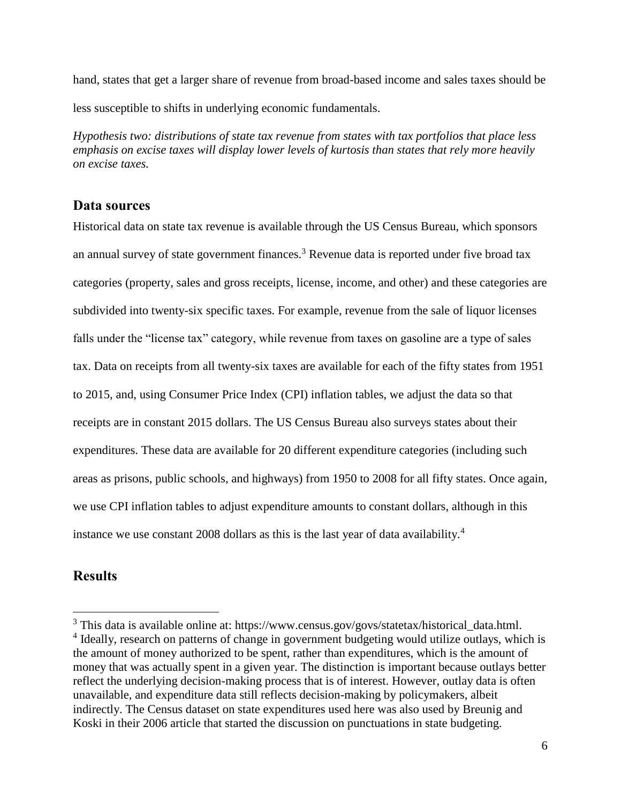hand, states that get a larger share of revenue from broad-based income and sales taxes should be less susceptible to shifts in underlying economic fundamentals.

*Hypothesis two: distributions of state tax revenue from states with tax portfolios that place less emphasis on excise taxes will display lower levels of kurtosis than states that rely more heavily on excise taxes.* 

# **Data sources**

Historical data on state tax revenue is available through the US Census Bureau, which sponsors an annual survey of state government finances.<sup>3</sup> Revenue data is reported under five broad tax categories (property, sales and gross receipts, license, income, and other) and these categories are subdivided into twenty-six specific taxes. For example, revenue from the sale of liquor licenses falls under the "license tax" category, while revenue from taxes on gasoline are a type of sales tax. Data on receipts from all twenty-six taxes are available for each of the fifty states from 1951 to 2015, and, using Consumer Price Index (CPI) inflation tables, we adjust the data so that receipts are in constant 2015 dollars. The US Census Bureau also surveys states about their expenditures. These data are available for 20 different expenditure categories (including such areas as prisons, public schools, and highways) from 1950 to 2008 for all fifty states. Once again, we use CPI inflation tables to adjust expenditure amounts to constant dollars, although in this instance we use constant 2008 dollars as this is the last year of data availability.<sup>4</sup>

# **Results**

 $\overline{a}$ 

<sup>&</sup>lt;sup>3</sup> This data is available online at: https://www.census.gov/govs/statetax/historical\_data.html. <sup>4</sup> Ideally, research on patterns of change in government budgeting would utilize outlays, which is the amount of money authorized to be spent, rather than expenditures, which is the amount of money that was actually spent in a given year. The distinction is important because outlays better reflect the underlying decision-making process that is of interest. However, outlay data is often unavailable, and expenditure data still reflects decision-making by policymakers, albeit indirectly. The Census dataset on state expenditures used here was also used by Breunig and Koski in their 2006 article that started the discussion on punctuations in state budgeting.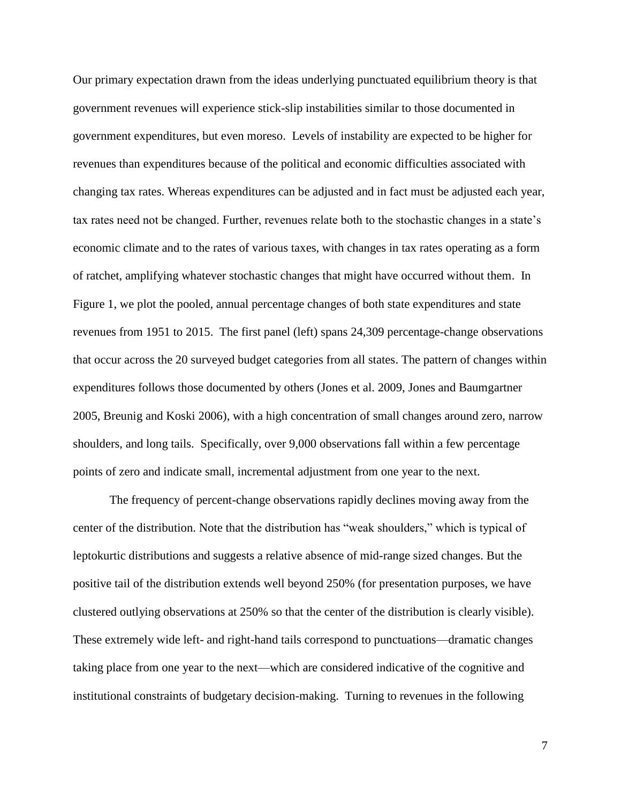Our primary expectation drawn from the ideas underlying punctuated equilibrium theory is that government revenues will experience stick-slip instabilities similar to those documented in government expenditures, but even moreso. Levels of instability are expected to be higher for revenues than expenditures because of the political and economic difficulties associated with changing tax rates. Whereas expenditures can be adjusted and in fact must be adjusted each year, tax rates need not be changed. Further, revenues relate both to the stochastic changes in a state's economic climate and to the rates of various taxes, with changes in tax rates operating as a form of ratchet, amplifying whatever stochastic changes that might have occurred without them. In Figure 1, we plot the pooled, annual percentage changes of both state expenditures and state revenues from 1951 to 2015. The first panel (left) spans 24,309 percentage-change observations that occur across the 20 surveyed budget categories from all states. The pattern of changes within expenditures follows those documented by others (Jones et al. 2009, Jones and Baumgartner 2005, Breunig and Koski 2006), with a high concentration of small changes around zero, narrow shoulders, and long tails. Specifically, over 9,000 observations fall within a few percentage points of zero and indicate small, incremental adjustment from one year to the next.

The frequency of percent-change observations rapidly declines moving away from the center of the distribution. Note that the distribution has "weak shoulders," which is typical of leptokurtic distributions and suggests a relative absence of mid-range sized changes. But the positive tail of the distribution extends well beyond 250% (for presentation purposes, we have clustered outlying observations at 250% so that the center of the distribution is clearly visible). These extremely wide left- and right-hand tails correspond to punctuations—dramatic changes taking place from one year to the next—which are considered indicative of the cognitive and institutional constraints of budgetary decision-making. Turning to revenues in the following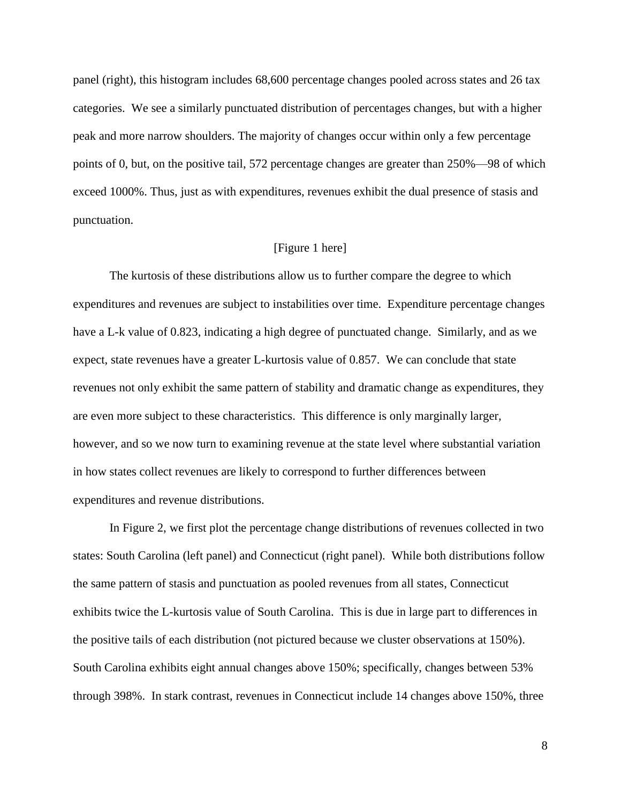panel (right), this histogram includes 68,600 percentage changes pooled across states and 26 tax categories. We see a similarly punctuated distribution of percentages changes, but with a higher peak and more narrow shoulders. The majority of changes occur within only a few percentage points of 0, but, on the positive tail, 572 percentage changes are greater than 250%—98 of which exceed 1000%. Thus, just as with expenditures, revenues exhibit the dual presence of stasis and punctuation.

## [Figure 1 here]

The kurtosis of these distributions allow us to further compare the degree to which expenditures and revenues are subject to instabilities over time. Expenditure percentage changes have a L-k value of 0.823, indicating a high degree of punctuated change. Similarly, and as we expect, state revenues have a greater L-kurtosis value of 0.857. We can conclude that state revenues not only exhibit the same pattern of stability and dramatic change as expenditures, they are even more subject to these characteristics. This difference is only marginally larger, however, and so we now turn to examining revenue at the state level where substantial variation in how states collect revenues are likely to correspond to further differences between expenditures and revenue distributions.

In Figure 2, we first plot the percentage change distributions of revenues collected in two states: South Carolina (left panel) and Connecticut (right panel). While both distributions follow the same pattern of stasis and punctuation as pooled revenues from all states, Connecticut exhibits twice the L-kurtosis value of South Carolina. This is due in large part to differences in the positive tails of each distribution (not pictured because we cluster observations at 150%). South Carolina exhibits eight annual changes above 150%; specifically, changes between 53% through 398%. In stark contrast, revenues in Connecticut include 14 changes above 150%, three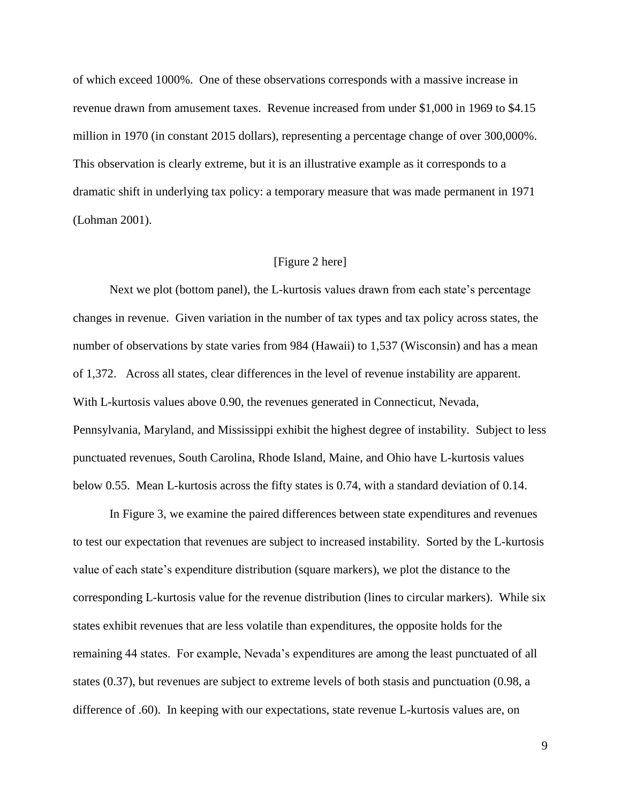of which exceed 1000%. One of these observations corresponds with a massive increase in revenue drawn from amusement taxes. Revenue increased from under \$1,000 in 1969 to \$4.15 million in 1970 (in constant 2015 dollars), representing a percentage change of over 300,000%. This observation is clearly extreme, but it is an illustrative example as it corresponds to a dramatic shift in underlying tax policy: a temporary measure that was made permanent in 1971 (Lohman 2001).

## [Figure 2 here]

Next we plot (bottom panel), the L-kurtosis values drawn from each state's percentage changes in revenue. Given variation in the number of tax types and tax policy across states, the number of observations by state varies from 984 (Hawaii) to 1,537 (Wisconsin) and has a mean of 1,372. Across all states, clear differences in the level of revenue instability are apparent. With L-kurtosis values above 0.90, the revenues generated in Connecticut, Nevada, Pennsylvania, Maryland, and Mississippi exhibit the highest degree of instability. Subject to less punctuated revenues, South Carolina, Rhode Island, Maine, and Ohio have L-kurtosis values below 0.55. Mean L-kurtosis across the fifty states is 0.74, with a standard deviation of 0.14.

In Figure 3, we examine the paired differences between state expenditures and revenues to test our expectation that revenues are subject to increased instability. Sorted by the L-kurtosis value of each state's expenditure distribution (square markers), we plot the distance to the corresponding L-kurtosis value for the revenue distribution (lines to circular markers). While six states exhibit revenues that are less volatile than expenditures, the opposite holds for the remaining 44 states. For example, Nevada's expenditures are among the least punctuated of all states (0.37), but revenues are subject to extreme levels of both stasis and punctuation (0.98, a difference of .60). In keeping with our expectations, state revenue L-kurtosis values are, on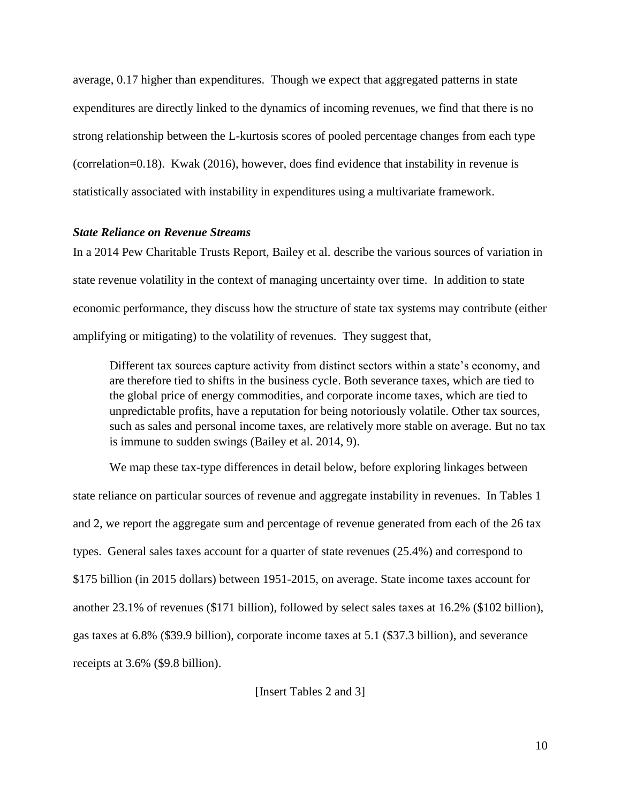average, 0.17 higher than expenditures. Though we expect that aggregated patterns in state expenditures are directly linked to the dynamics of incoming revenues, we find that there is no strong relationship between the L-kurtosis scores of pooled percentage changes from each type (correlation=0.18). Kwak (2016), however, does find evidence that instability in revenue is statistically associated with instability in expenditures using a multivariate framework.

#### *State Reliance on Revenue Streams*

In a 2014 Pew Charitable Trusts Report, Bailey et al. describe the various sources of variation in state revenue volatility in the context of managing uncertainty over time. In addition to state economic performance, they discuss how the structure of state tax systems may contribute (either amplifying or mitigating) to the volatility of revenues. They suggest that,

Different tax sources capture activity from distinct sectors within a state's economy, and are therefore tied to shifts in the business cycle. Both severance taxes, which are tied to the global price of energy commodities, and corporate income taxes, which are tied to unpredictable profits, have a reputation for being notoriously volatile. Other tax sources, such as sales and personal income taxes, are relatively more stable on average. But no tax is immune to sudden swings (Bailey et al. 2014, 9).

We map these tax-type differences in detail below, before exploring linkages between state reliance on particular sources of revenue and aggregate instability in revenues. In Tables 1 and 2, we report the aggregate sum and percentage of revenue generated from each of the 26 tax types. General sales taxes account for a quarter of state revenues (25.4%) and correspond to \$175 billion (in 2015 dollars) between 1951-2015, on average. State income taxes account for another 23.1% of revenues (\$171 billion), followed by select sales taxes at 16.2% (\$102 billion), gas taxes at 6.8% (\$39.9 billion), corporate income taxes at 5.1 (\$37.3 billion), and severance receipts at 3.6% (\$9.8 billion).

[Insert Tables 2 and 3]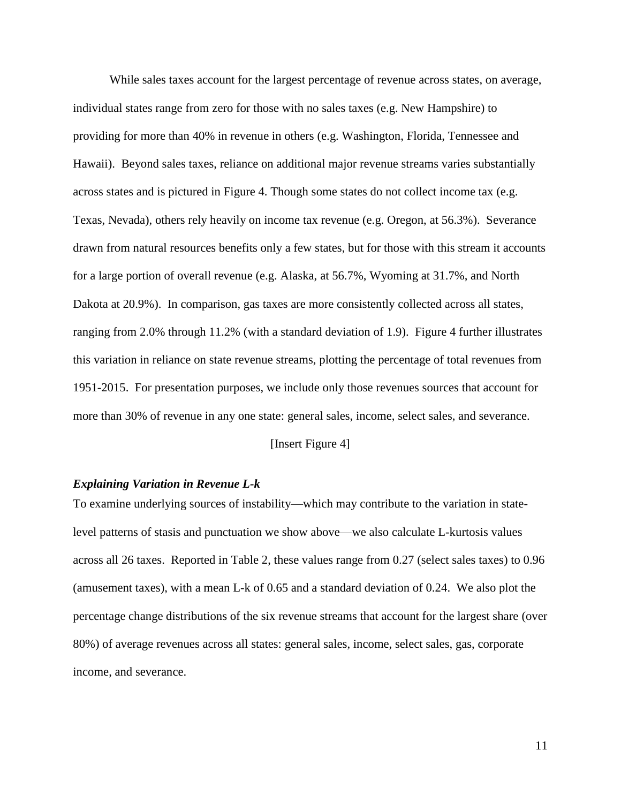While sales taxes account for the largest percentage of revenue across states, on average, individual states range from zero for those with no sales taxes (e.g. New Hampshire) to providing for more than 40% in revenue in others (e.g. Washington, Florida, Tennessee and Hawaii). Beyond sales taxes, reliance on additional major revenue streams varies substantially across states and is pictured in Figure 4. Though some states do not collect income tax (e.g. Texas, Nevada), others rely heavily on income tax revenue (e.g. Oregon, at 56.3%). Severance drawn from natural resources benefits only a few states, but for those with this stream it accounts for a large portion of overall revenue (e.g. Alaska, at 56.7%, Wyoming at 31.7%, and North Dakota at 20.9%). In comparison, gas taxes are more consistently collected across all states, ranging from 2.0% through 11.2% (with a standard deviation of 1.9). Figure 4 further illustrates this variation in reliance on state revenue streams, plotting the percentage of total revenues from 1951-2015. For presentation purposes, we include only those revenues sources that account for more than 30% of revenue in any one state: general sales, income, select sales, and severance.

[Insert Figure 4]

## *Explaining Variation in Revenue L-k*

To examine underlying sources of instability—which may contribute to the variation in statelevel patterns of stasis and punctuation we show above—we also calculate L-kurtosis values across all 26 taxes. Reported in Table 2, these values range from 0.27 (select sales taxes) to 0.96 (amusement taxes), with a mean L-k of 0.65 and a standard deviation of 0.24. We also plot the percentage change distributions of the six revenue streams that account for the largest share (over 80%) of average revenues across all states: general sales, income, select sales, gas, corporate income, and severance.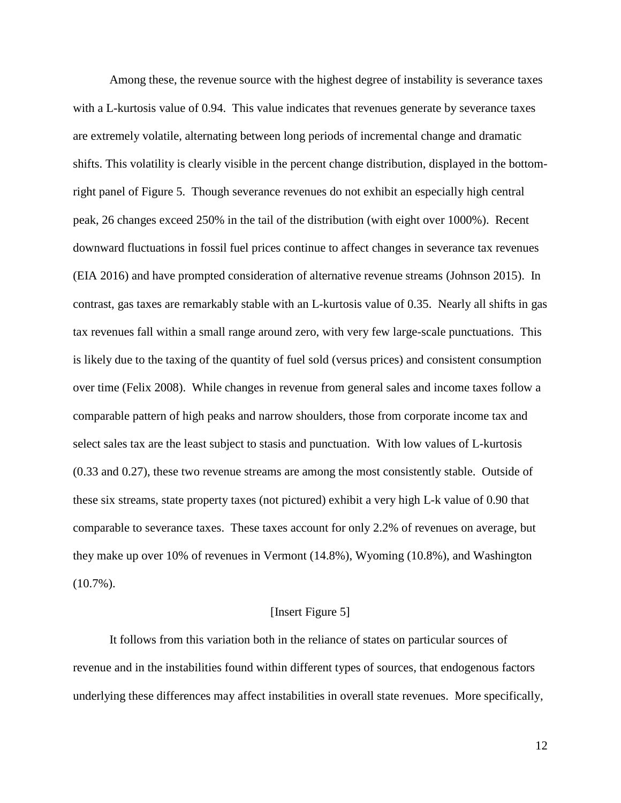Among these, the revenue source with the highest degree of instability is severance taxes with a L-kurtosis value of 0.94. This value indicates that revenues generate by severance taxes are extremely volatile, alternating between long periods of incremental change and dramatic shifts. This volatility is clearly visible in the percent change distribution, displayed in the bottomright panel of Figure 5. Though severance revenues do not exhibit an especially high central peak, 26 changes exceed 250% in the tail of the distribution (with eight over 1000%). Recent downward fluctuations in fossil fuel prices continue to affect changes in severance tax revenues (EIA 2016) and have prompted consideration of alternative revenue streams (Johnson 2015). In contrast, gas taxes are remarkably stable with an L-kurtosis value of 0.35. Nearly all shifts in gas tax revenues fall within a small range around zero, with very few large-scale punctuations. This is likely due to the taxing of the quantity of fuel sold (versus prices) and consistent consumption over time (Felix 2008). While changes in revenue from general sales and income taxes follow a comparable pattern of high peaks and narrow shoulders, those from corporate income tax and select sales tax are the least subject to stasis and punctuation. With low values of L-kurtosis (0.33 and 0.27), these two revenue streams are among the most consistently stable. Outside of these six streams, state property taxes (not pictured) exhibit a very high L-k value of 0.90 that comparable to severance taxes. These taxes account for only 2.2% of revenues on average, but they make up over 10% of revenues in Vermont (14.8%), Wyoming (10.8%), and Washington  $(10.7\%)$ .

#### [Insert Figure 5]

It follows from this variation both in the reliance of states on particular sources of revenue and in the instabilities found within different types of sources, that endogenous factors underlying these differences may affect instabilities in overall state revenues. More specifically,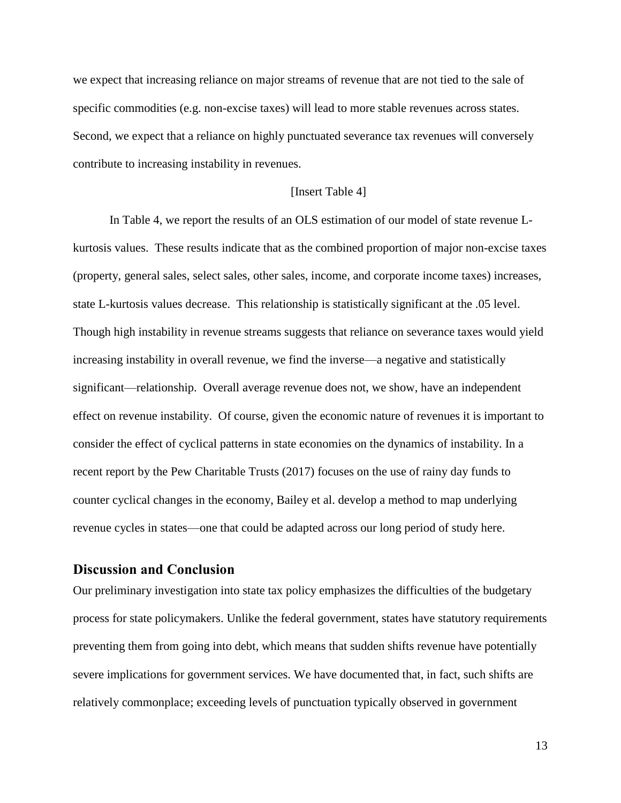we expect that increasing reliance on major streams of revenue that are not tied to the sale of specific commodities (e.g. non-excise taxes) will lead to more stable revenues across states. Second, we expect that a reliance on highly punctuated severance tax revenues will conversely contribute to increasing instability in revenues.

## [Insert Table 4]

In Table 4, we report the results of an OLS estimation of our model of state revenue Lkurtosis values. These results indicate that as the combined proportion of major non-excise taxes (property, general sales, select sales, other sales, income, and corporate income taxes) increases, state L-kurtosis values decrease. This relationship is statistically significant at the .05 level. Though high instability in revenue streams suggests that reliance on severance taxes would yield increasing instability in overall revenue, we find the inverse—a negative and statistically significant—relationship. Overall average revenue does not, we show, have an independent effect on revenue instability. Of course, given the economic nature of revenues it is important to consider the effect of cyclical patterns in state economies on the dynamics of instability. In a recent report by the Pew Charitable Trusts (2017) focuses on the use of rainy day funds to counter cyclical changes in the economy, Bailey et al. develop a method to map underlying revenue cycles in states—one that could be adapted across our long period of study here.

## **Discussion and Conclusion**

Our preliminary investigation into state tax policy emphasizes the difficulties of the budgetary process for state policymakers. Unlike the federal government, states have statutory requirements preventing them from going into debt, which means that sudden shifts revenue have potentially severe implications for government services. We have documented that, in fact, such shifts are relatively commonplace; exceeding levels of punctuation typically observed in government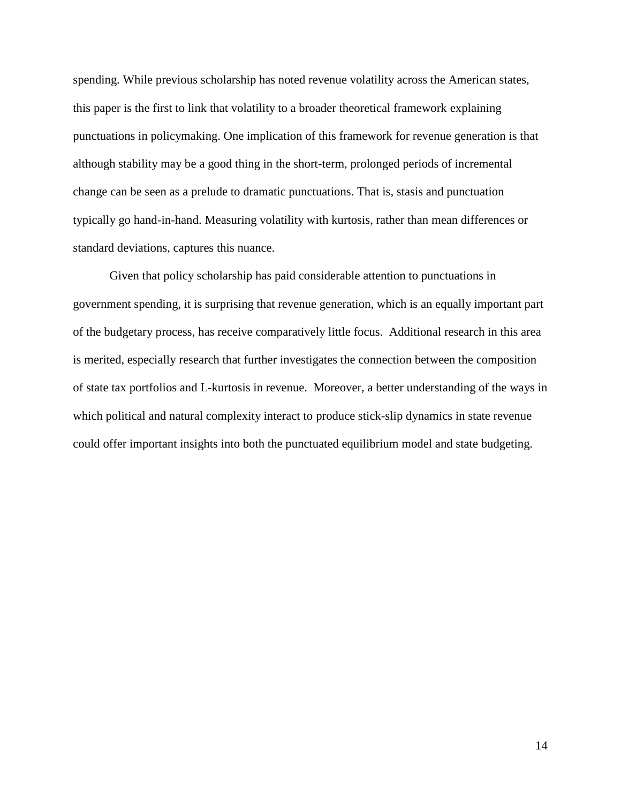spending. While previous scholarship has noted revenue volatility across the American states, this paper is the first to link that volatility to a broader theoretical framework explaining punctuations in policymaking. One implication of this framework for revenue generation is that although stability may be a good thing in the short-term, prolonged periods of incremental change can be seen as a prelude to dramatic punctuations. That is, stasis and punctuation typically go hand-in-hand. Measuring volatility with kurtosis, rather than mean differences or standard deviations, captures this nuance.

Given that policy scholarship has paid considerable attention to punctuations in government spending, it is surprising that revenue generation, which is an equally important part of the budgetary process, has receive comparatively little focus. Additional research in this area is merited, especially research that further investigates the connection between the composition of state tax portfolios and L-kurtosis in revenue. Moreover, a better understanding of the ways in which political and natural complexity interact to produce stick-slip dynamics in state revenue could offer important insights into both the punctuated equilibrium model and state budgeting.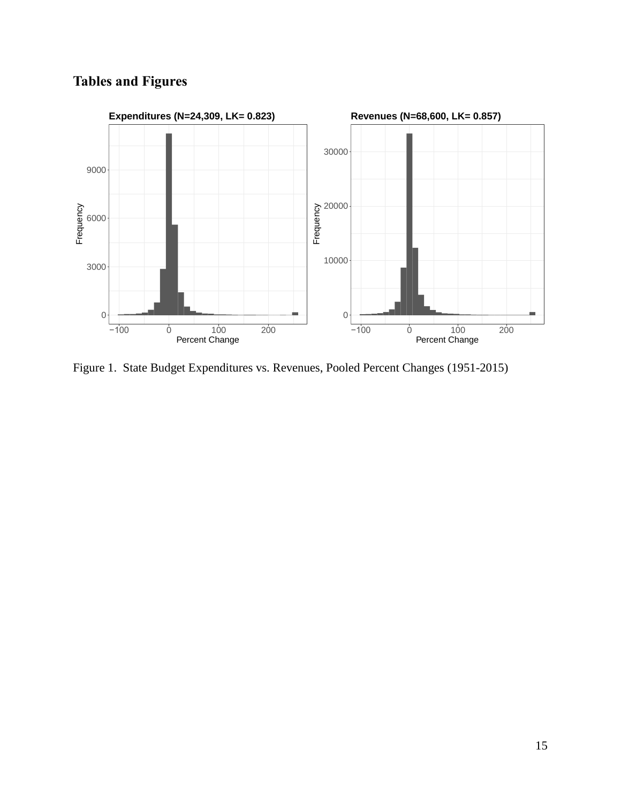# **Tables and Figures**



Figure 1. State Budget Expenditures vs. Revenues, Pooled Percent Changes (1951-2015)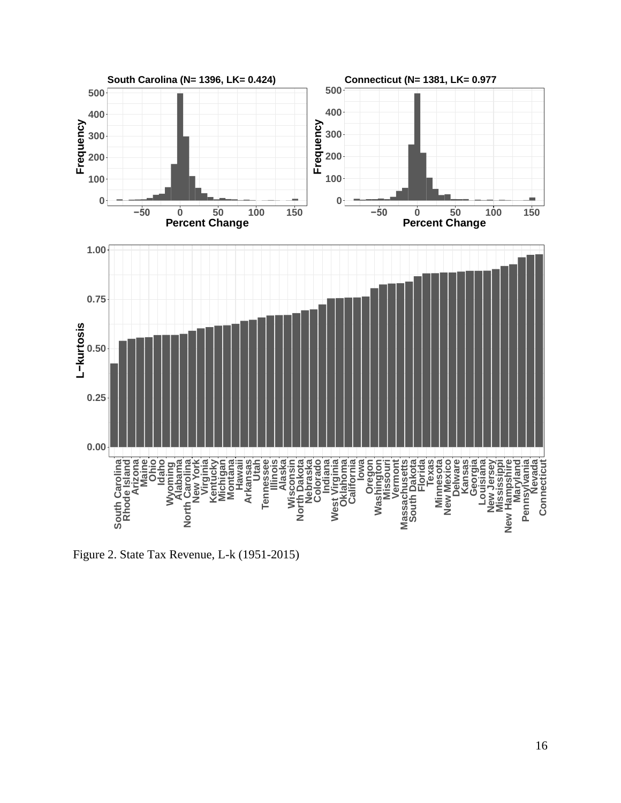

Figure 2. State Tax Revenue, L-k (1951-2015)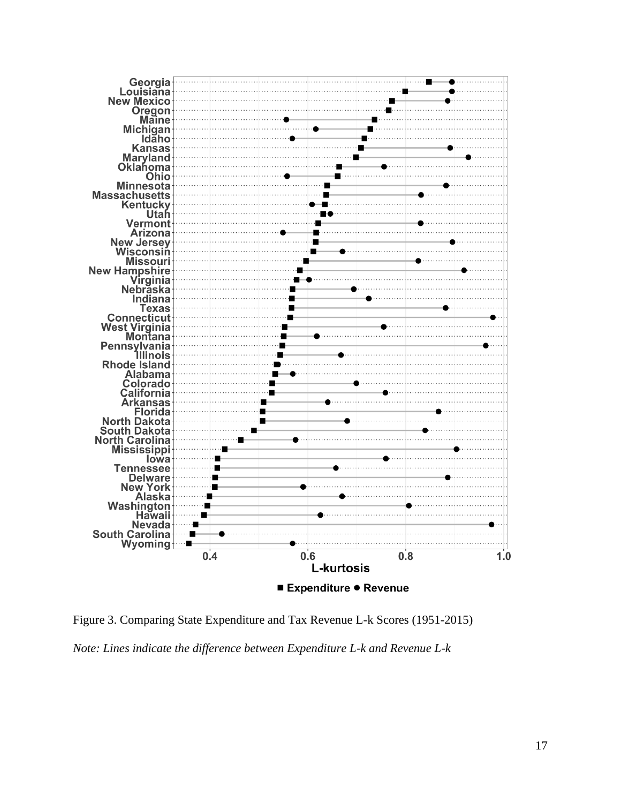

Figure 3. Comparing State Expenditure and Tax Revenue L-k Scores (1951-2015) *Note: Lines indicate the difference between Expenditure L-k and Revenue L-k*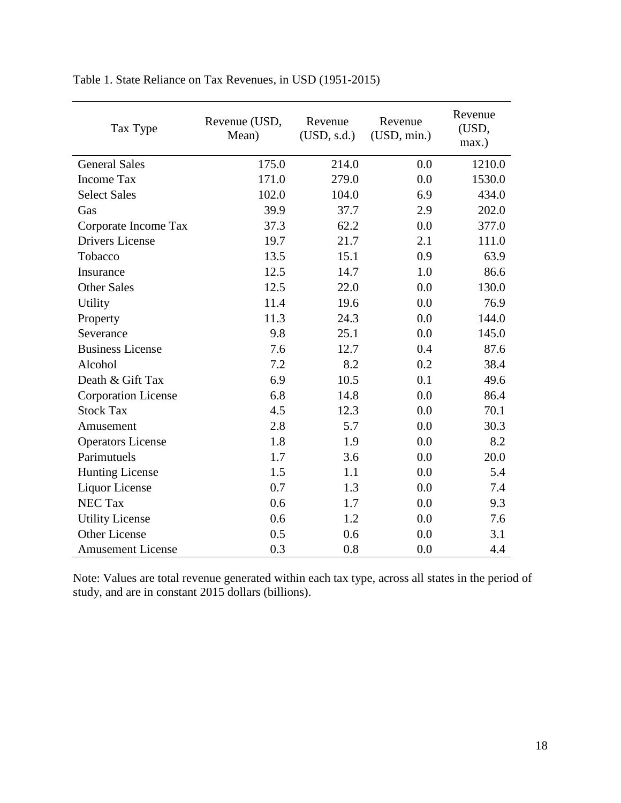| Tax Type                   | Revenue (USD,<br>Mean) | Revenue<br>(USD, s.d.) | Revenue<br>(USD, min.) | Revenue<br>(USD,<br>max.) |  |
|----------------------------|------------------------|------------------------|------------------------|---------------------------|--|
| <b>General Sales</b>       | 175.0                  | 214.0                  | 0.0                    | 1210.0                    |  |
| <b>Income Tax</b>          | 171.0                  | 279.0                  | 0.0                    | 1530.0                    |  |
| <b>Select Sales</b>        | 102.0                  | 104.0                  | 6.9                    | 434.0                     |  |
| Gas                        | 39.9                   | 37.7                   | 2.9                    | 202.0                     |  |
| Corporate Income Tax       | 37.3                   | 62.2                   | 0.0                    | 377.0                     |  |
| <b>Drivers License</b>     | 19.7                   | 21.7                   | 2.1                    | 111.0                     |  |
| Tobacco                    | 13.5                   | 15.1                   | 0.9                    | 63.9                      |  |
| Insurance                  | 12.5                   | 14.7                   | 1.0                    | 86.6                      |  |
| <b>Other Sales</b>         | 12.5                   | 22.0                   | 0.0                    | 130.0                     |  |
| <b>Utility</b>             | 11.4                   | 19.6                   | 0.0                    | 76.9                      |  |
| Property                   | 11.3                   | 24.3                   | 0.0                    | 144.0                     |  |
| Severance                  | 9.8                    | 25.1                   | 0.0                    | 145.0                     |  |
| <b>Business License</b>    | 7.6                    | 12.7                   | 0.4                    | 87.6                      |  |
| Alcohol                    | 7.2                    | 8.2                    | 0.2                    | 38.4                      |  |
| Death & Gift Tax           | 6.9                    | 10.5                   | 0.1                    | 49.6                      |  |
| <b>Corporation License</b> | 6.8                    | 14.8                   | 0.0                    | 86.4                      |  |
| <b>Stock Tax</b>           | 4.5                    | 12.3                   | 0.0                    | 70.1                      |  |
| Amusement                  | 2.8                    | 5.7                    | 0.0                    | 30.3                      |  |
| <b>Operators License</b>   | 1.8                    | 1.9                    | 0.0                    | 8.2                       |  |
| Parimutuels                | 1.7                    | 3.6                    | 0.0                    | 20.0                      |  |
| <b>Hunting License</b>     | 1.5                    | 1.1                    | 0.0                    | 5.4                       |  |
| <b>Liquor License</b>      | 0.7                    | 1.3                    | 0.0                    | 7.4                       |  |
| <b>NEC Tax</b>             | 0.6                    | 1.7                    | 0.0                    | 9.3                       |  |
| <b>Utility License</b>     | 0.6                    | 1.2                    | 0.0                    | 7.6                       |  |
| <b>Other License</b>       | 0.5                    | 0.6                    | 0.0                    | 3.1                       |  |
| <b>Amusement License</b>   | 0.3                    | 0.8                    | 0.0                    | 4.4                       |  |

Table 1. State Reliance on Tax Revenues, in USD (1951-2015)

Note: Values are total revenue generated within each tax type, across all states in the period of study, and are in constant 2015 dollars (billions).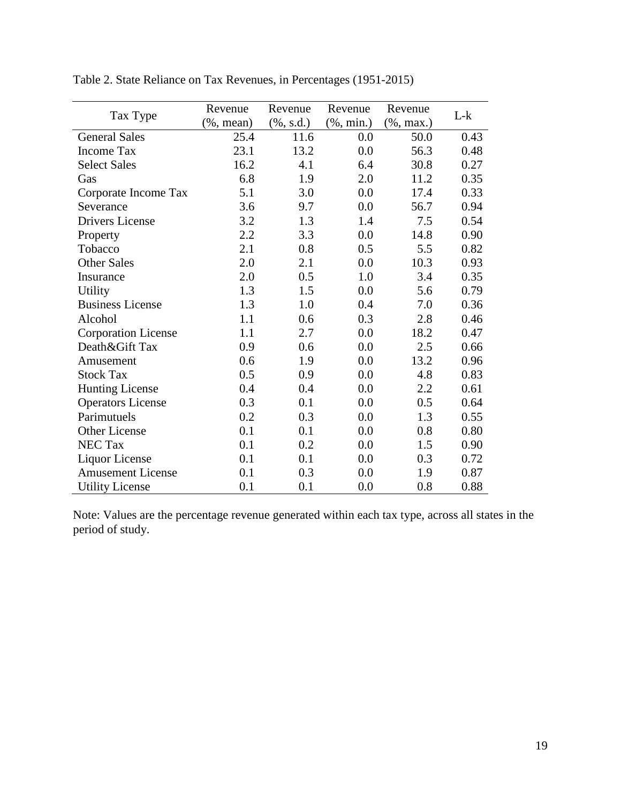| Tax Type                   | Revenue       | Revenue      | Revenue       | Revenue        | $L-k$ |
|----------------------------|---------------|--------------|---------------|----------------|-------|
|                            | $(\%$ , mean) | $(\%, s.d.)$ | $(\%$ , min.) | $(\% , \max.)$ |       |
| <b>General Sales</b>       | 25.4          | 11.6         | 0.0           | 50.0           | 0.43  |
| <b>Income Tax</b>          | 23.1          | 13.2         | 0.0           | 56.3           | 0.48  |
| <b>Select Sales</b>        | 16.2          | 4.1          | 6.4           | 30.8           | 0.27  |
| Gas                        | 6.8           | 1.9          | 2.0           | 11.2           | 0.35  |
| Corporate Income Tax       | 5.1           | 3.0          | 0.0           | 17.4           | 0.33  |
| Severance                  | 3.6           | 9.7          | 0.0           | 56.7           | 0.94  |
| <b>Drivers License</b>     | 3.2           | 1.3          | 1.4           | 7.5            | 0.54  |
| Property                   | 2.2           | 3.3          | 0.0           | 14.8           | 0.90  |
| Tobacco                    | 2.1           | 0.8          | 0.5           | 5.5            | 0.82  |
| <b>Other Sales</b>         | 2.0           | 2.1          | 0.0           | 10.3           | 0.93  |
| Insurance                  | 2.0           | 0.5          | 1.0           | 3.4            | 0.35  |
| Utility                    | 1.3           | 1.5          | 0.0           | 5.6            | 0.79  |
| <b>Business License</b>    | 1.3           | 1.0          | 0.4           | 7.0            | 0.36  |
| Alcohol                    | 1.1           | 0.6          | 0.3           | 2.8            | 0.46  |
| <b>Corporation License</b> | 1.1           | 2.7          | 0.0           | 18.2           | 0.47  |
| Death&Gift Tax             | 0.9           | 0.6          | 0.0           | 2.5            | 0.66  |
| Amusement                  | 0.6           | 1.9          | 0.0           | 13.2           | 0.96  |
| <b>Stock Tax</b>           | 0.5           | 0.9          | 0.0           | 4.8            | 0.83  |
| <b>Hunting License</b>     | 0.4           | 0.4          | 0.0           | 2.2            | 0.61  |
| <b>Operators License</b>   | 0.3           | 0.1          | 0.0           | 0.5            | 0.64  |
| Parimutuels                | 0.2           | 0.3          | 0.0           | 1.3            | 0.55  |
| Other License              | 0.1           | 0.1          | 0.0           | 0.8            | 0.80  |
| <b>NEC Tax</b>             | 0.1           | 0.2          | 0.0           | 1.5            | 0.90  |
| Liquor License             | 0.1           | 0.1          | 0.0           | 0.3            | 0.72  |
| <b>Amusement License</b>   | 0.1           | 0.3          | 0.0           | 1.9            | 0.87  |
| <b>Utility License</b>     | 0.1           | 0.1          | 0.0           | 0.8            | 0.88  |

Table 2. State Reliance on Tax Revenues, in Percentages (1951-2015)

Note: Values are the percentage revenue generated within each tax type, across all states in the period of study.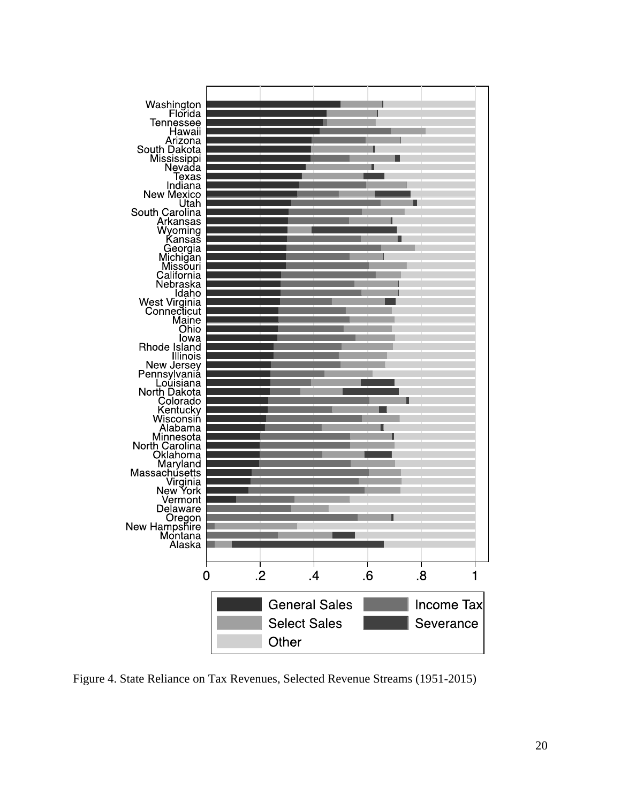

Figure 4. State Reliance on Tax Revenues, Selected Revenue Streams (1951-2015)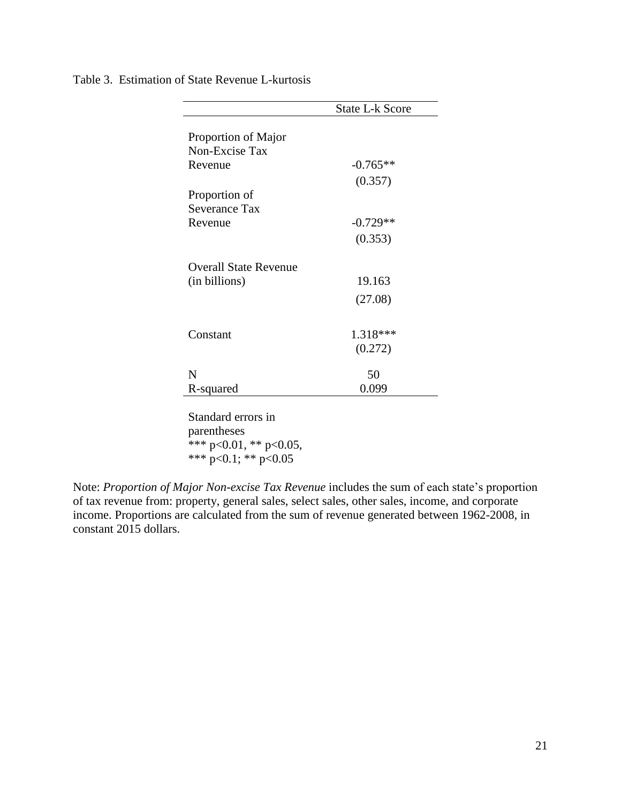|                              | <b>State L-k Score</b> |
|------------------------------|------------------------|
|                              |                        |
| Proportion of Major          |                        |
| Non-Excise Tax               |                        |
| Revenue                      | $-0.765**$             |
|                              | (0.357)                |
| Proportion of                |                        |
| Severance Tax                |                        |
| Revenue                      | $-0.729**$             |
|                              | (0.353)                |
|                              |                        |
| <b>Overall State Revenue</b> |                        |
| (in billions)                | 19.163                 |
|                              | (27.08)                |
|                              |                        |
|                              |                        |
| Constant                     | 1.318***               |
|                              | (0.272)                |
| N                            | 50                     |
|                              | 0.099                  |
| R-squared                    |                        |

Table 3. Estimation of State Revenue L-kurtosis

Standard errors in parentheses \*\*\* p<0.01, \*\* p<0.05, \*\*\*  $p<0.1$ ; \*\*  $p<0.05$ 

Note: *Proportion of Major Non-excise Tax Revenue* includes the sum of each state's proportion of tax revenue from: property, general sales, select sales, other sales, income, and corporate income. Proportions are calculated from the sum of revenue generated between 1962-2008, in constant 2015 dollars.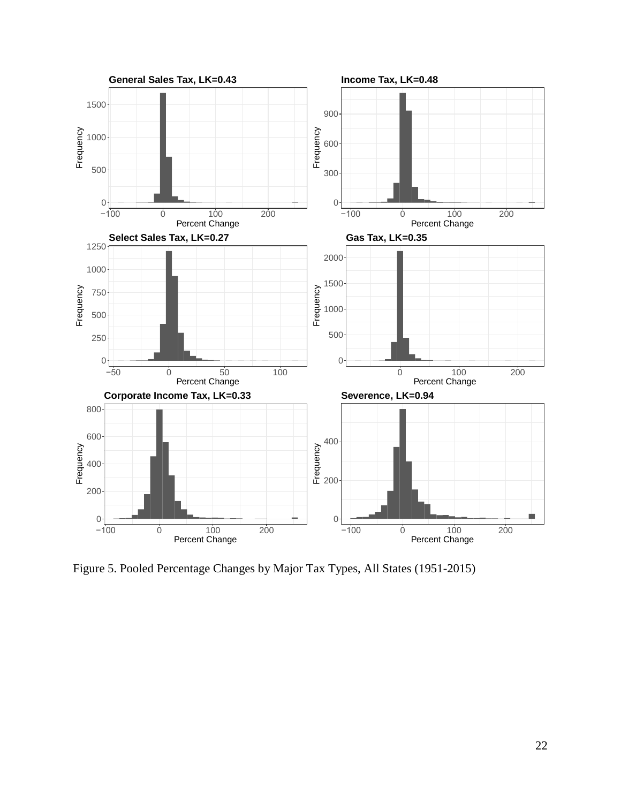

Figure 5. Pooled Percentage Changes by Major Tax Types, All States (1951-2015)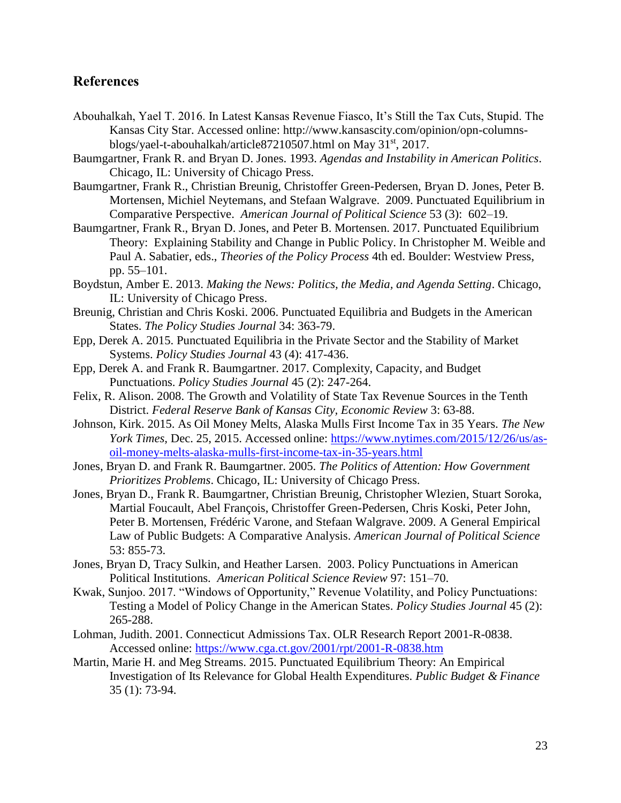# **References**

- Abouhalkah, Yael T. 2016. In Latest Kansas Revenue Fiasco, It's Still the Tax Cuts, Stupid. The Kansas City Star. Accessed online: http://www.kansascity.com/opinion/opn-columnsblogs/yael-t-abouhalkah/article87210507.html on May 31<sup>st</sup>, 2017.
- Baumgartner, Frank R. and Bryan D. Jones. 1993. *Agendas and Instability in American Politics*. Chicago, IL: University of Chicago Press.
- Baumgartner, Frank R., Christian Breunig, Christoffer Green-Pedersen, Bryan D. Jones, Peter B. Mortensen, Michiel Neytemans, and Stefaan Walgrave. 2009. Punctuated Equilibrium in Comparative Perspective. *American Journal of Political Science* 53 (3): 602–19.
- Baumgartner, Frank R., Bryan D. Jones, and Peter B. Mortensen. 2017. Punctuated Equilibrium Theory: Explaining Stability and Change in Public Policy. In Christopher M. Weible and Paul A. Sabatier, eds., *Theories of the Policy Process* 4th ed. Boulder: Westview Press, pp. 55–101.
- Boydstun, Amber E. 2013. *Making the News: Politics, the Media, and Agenda Setting*. Chicago, IL: University of Chicago Press.
- Breunig, Christian and Chris Koski. 2006. Punctuated Equilibria and Budgets in the American States. *The Policy Studies Journal* 34: 363-79.
- Epp, Derek A. 2015. Punctuated Equilibria in the Private Sector and the Stability of Market Systems. *Policy Studies Journal* 43 (4): 417-436.
- Epp, Derek A. and Frank R. Baumgartner. 2017. Complexity, Capacity, and Budget Punctuations. *Policy Studies Journal* 45 (2): 247-264.
- Felix, R. Alison. 2008. The Growth and Volatility of State Tax Revenue Sources in the Tenth District. *Federal Reserve Bank of Kansas City, Economic Review* 3: 63-88.
- Johnson, Kirk. 2015. As Oil Money Melts, Alaska Mulls First Income Tax in 35 Years. *The New York Times,* Dec. 25, 2015. Accessed online: [https://www.nytimes.com/2015/12/26/us/as](https://www.nytimes.com/2015/12/26/us/as-oil-money-melts-alaska-mulls-first-income-tax-in-35-years.html)[oil-money-melts-alaska-mulls-first-income-tax-in-35-years.html](https://www.nytimes.com/2015/12/26/us/as-oil-money-melts-alaska-mulls-first-income-tax-in-35-years.html)
- Jones, Bryan D. and Frank R. Baumgartner. 2005. *The Politics of Attention: How Government Prioritizes Problems*. Chicago, IL: University of Chicago Press.
- Jones, Bryan D., Frank R. Baumgartner, Christian Breunig, Christopher Wlezien, Stuart Soroka, Martial Foucault, Abel François, Christoffer Green-Pedersen, Chris Koski, Peter John, Peter B. Mortensen, Frédéric Varone, and Stefaan Walgrave. 2009. A General Empirical Law of Public Budgets: A Comparative Analysis. *American Journal of Political Science* 53: 855-73.
- Jones, Bryan D, Tracy Sulkin, and Heather Larsen. 2003. Policy Punctuations in American Political Institutions. *American Political Science Review* 97: 151–70.
- Kwak, Sunjoo. 2017. "Windows of Opportunity," Revenue Volatility, and Policy Punctuations: Testing a Model of Policy Change in the American States. *Policy Studies Journal* 45 (2): 265-288.
- Lohman, Judith. 2001. Connecticut Admissions Tax. OLR Research Report 2001-R-0838. Accessed online:<https://www.cga.ct.gov/2001/rpt/2001-R-0838.htm>
- Martin, Marie H. and Meg Streams. 2015. Punctuated Equilibrium Theory: An Empirical Investigation of Its Relevance for Global Health Expenditures. *Public Budget & Finance* 35 (1): 73-94.